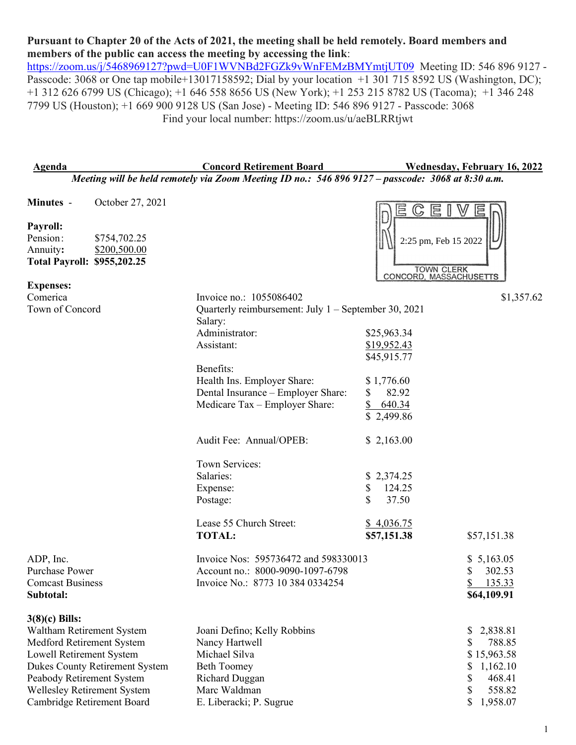## **Pursuant to Chapter 20 of the Acts of 2021, the meeting shall be held remotely. Board members and members of the public can access the meeting by accessing the link**:

<https://zoom.us/j/5468969127?pwd=U0F1WVNBd2FGZk9vWnFEMzBMYmtjUT09>Meeting ID: 546 896 9127 -Passcode: 3068 or One tap mobile+13017158592; Dial by your location +1 301 715 8592 US (Washington, DC); +1 312 626 6799 US (Chicago); +1 646 558 8656 US (New York); +1 253 215 8782 US (Tacoma); +1 346 248 7799 US (Houston); +1 669 900 9128 US (San Jose) - Meeting ID: 546 896 9127 - Passcode: 3068 Find your local number: https://zoom.us/u/aeBLRRtjwt

| <b>Agenda</b>                                                                                     | <b>Concord Retirement Board</b>                                      | <b>Wednesday, February 16, 2022</b>      |  |  |  |  |  |
|---------------------------------------------------------------------------------------------------|----------------------------------------------------------------------|------------------------------------------|--|--|--|--|--|
| Meeting will be held remotely via Zoom Meeting ID no.: 546 896 9127 - passcode: 3068 at 8:30 a.m. |                                                                      |                                          |  |  |  |  |  |
| October 27, 2021<br>Minutes -                                                                     |                                                                      |                                          |  |  |  |  |  |
|                                                                                                   |                                                                      | E<br>目<br>$\mathbb{C}$                   |  |  |  |  |  |
| Payroll:                                                                                          |                                                                      |                                          |  |  |  |  |  |
| Pension:<br>\$754,702.25                                                                          |                                                                      | 2:25 pm, Feb 15 2022                     |  |  |  |  |  |
| Annuity:<br>\$200,500.00                                                                          |                                                                      |                                          |  |  |  |  |  |
| <b>Total Payroll: \$955,202.25</b>                                                                |                                                                      | <b>TOWN CLERK</b>                        |  |  |  |  |  |
| <b>Expenses:</b>                                                                                  |                                                                      | CONCORD, MASSACHUSETTS                   |  |  |  |  |  |
| Comerica                                                                                          | Invoice no.: 1055086402                                              | \$1,357.62                               |  |  |  |  |  |
| Town of Concord                                                                                   | Quarterly reimbursement: July $1 -$ September 30, 2021               |                                          |  |  |  |  |  |
|                                                                                                   | Salary:                                                              |                                          |  |  |  |  |  |
|                                                                                                   | Administrator:                                                       | \$25,963.34                              |  |  |  |  |  |
|                                                                                                   | Assistant:                                                           | \$19,952.43                              |  |  |  |  |  |
|                                                                                                   |                                                                      | \$45,915.77                              |  |  |  |  |  |
|                                                                                                   | Benefits:                                                            |                                          |  |  |  |  |  |
|                                                                                                   | Health Ins. Employer Share:                                          | \$1,776.60                               |  |  |  |  |  |
|                                                                                                   | Dental Insurance - Employer Share:<br>Medicare Tax - Employer Share: | 82.92<br>S.<br>\$<br>640.34              |  |  |  |  |  |
|                                                                                                   |                                                                      | \$2,499.86                               |  |  |  |  |  |
|                                                                                                   |                                                                      |                                          |  |  |  |  |  |
|                                                                                                   | Audit Fee: Annual/OPEB:                                              | \$2,163.00                               |  |  |  |  |  |
|                                                                                                   | Town Services:                                                       |                                          |  |  |  |  |  |
|                                                                                                   | Salaries:                                                            | \$2,374.25                               |  |  |  |  |  |
|                                                                                                   | Expense:                                                             | 124.25<br>\$                             |  |  |  |  |  |
|                                                                                                   | Postage:                                                             | \$<br>37.50                              |  |  |  |  |  |
|                                                                                                   |                                                                      |                                          |  |  |  |  |  |
|                                                                                                   | Lease 55 Church Street:<br><b>TOTAL:</b>                             | \$4,036.75<br>\$57,151.38<br>\$57,151.38 |  |  |  |  |  |
|                                                                                                   |                                                                      |                                          |  |  |  |  |  |
| ADP, Inc.                                                                                         | Invoice Nos: 595736472 and 598330013                                 | \$5,163.05                               |  |  |  |  |  |
| <b>Purchase Power</b>                                                                             | Account no.: 8000-9090-1097-6798                                     | 302.53                                   |  |  |  |  |  |
| <b>Comcast Business</b>                                                                           | Invoice No.: 8773 10 384 0334254                                     | \$135.33                                 |  |  |  |  |  |
| Subtotal:                                                                                         |                                                                      | \$64,109.91                              |  |  |  |  |  |
|                                                                                                   |                                                                      |                                          |  |  |  |  |  |
| $3(8)(c)$ Bills:                                                                                  |                                                                      |                                          |  |  |  |  |  |
| Waltham Retirement System                                                                         | Joani Defino; Kelly Robbins<br>Nancy Hartwell                        | 2,838.81<br>\$                           |  |  |  |  |  |
| Medford Retirement System<br>Lowell Retirement System                                             | Michael Silva                                                        | 788.85<br>S<br>\$15,963.58               |  |  |  |  |  |
| <b>Dukes County Retirement System</b>                                                             | <b>Beth Toomey</b>                                                   | 1,162.10<br>\$                           |  |  |  |  |  |
| Peabody Retirement System                                                                         | Richard Duggan                                                       | \$<br>468.41                             |  |  |  |  |  |
| Wellesley Retirement System                                                                       | Marc Waldman                                                         | \$<br>558.82                             |  |  |  |  |  |
| Cambridge Retirement Board                                                                        | E. Liberacki; P. Sugrue                                              | \$<br>1,958.07                           |  |  |  |  |  |